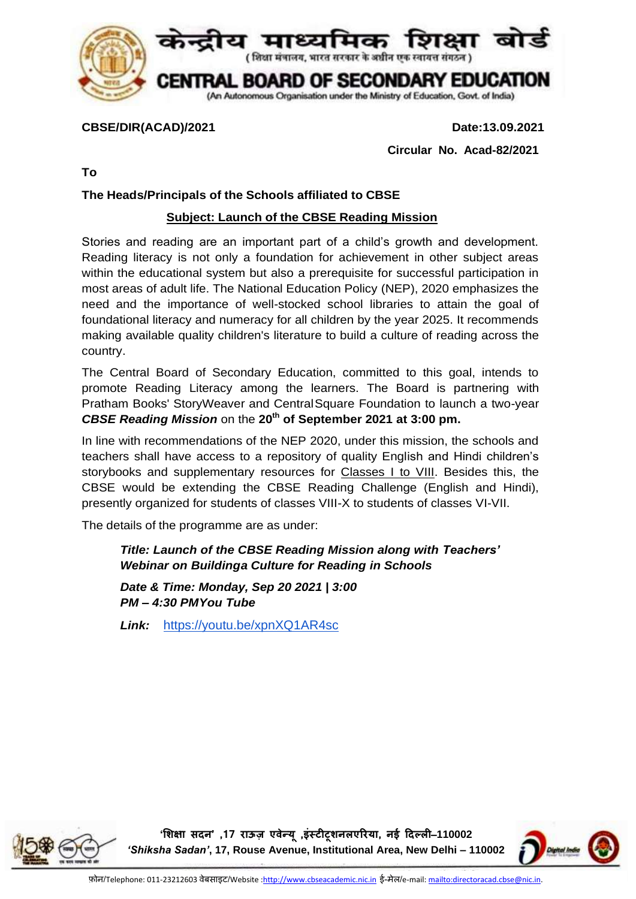

CBSE/DIR(ACAD)/2021 **Date:13.09.2021** 

**Circular No. Acad-82/2021**

**To**

## **The Heads/Principals of the Schools affiliated to CBSE**

## **Subject: Launch of the CBSE Reading Mission**

Stories and reading are an important part of a child's growth and development. Reading literacy is not only a foundation for achievement in other subject areas within the educational system but also a prerequisite for successful participation in most areas of adult life. The National Education Policy (NEP), 2020 emphasizes the need and the importance of well-stocked school libraries to attain the goal of foundational literacy and numeracy for all children by the year 2025. It recommends making available quality children's literature to build a culture of reading across the country.

The Central Board of Secondary Education, committed to this goal, intends to promote Reading Literacy among the learners. The Board is partnering with Pratham Books' StoryWeaver and CentralSquare Foundation to launch a two-year *CBSE Reading Mission* on the **20th of September 2021 at 3:00 pm.**

In line with recommendations of the NEP 2020, under this mission, the schools and teachers shall have access to a repository of quality English and Hindi children's storybooks and supplementary resources for Classes I to VIII. Besides this, the CBSE would be extending the CBSE Reading Challenge (English and Hindi), presently organized for students of classes VIII-X to students of classes VI-VII.

The details of the programme are as under:

*Title: Launch of the CBSE Reading Mission along with Teachers' Webinar on Buildinga Culture for Reading in Schools*

*Date & Time: Monday, Sep 20 2021 | 3:00 PM – 4:30 PMYou Tube*

*Link:* <https://youtu.be/xpnXQ1AR4sc>



**'शिक्षा सदन' ,71 राऊज़ एवेन्यू ,इंस्टीटूिनलएररया, नई ददल्ली**–**110002**  *'Shiksha Sadan'***, 17, Rouse Avenue, Institutional Area, New Delhi – 110002**

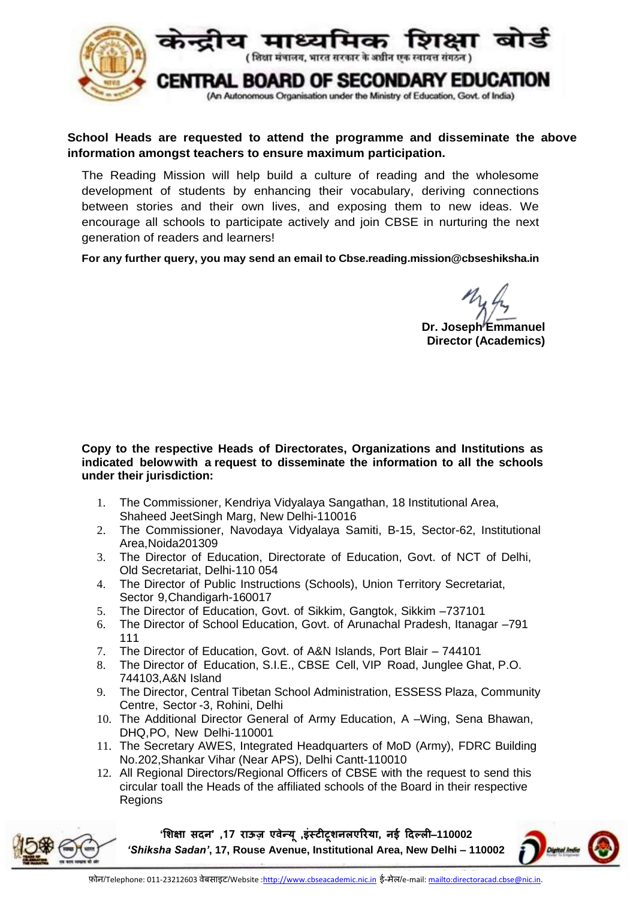

## **School Heads are requested to attend the programme and disseminate the above information amongst teachers to ensure maximum participation.**

The Reading Mission will help build a culture of reading and the wholesome development of students by enhancing their vocabulary, deriving connections between stories and their own lives, and exposing them to new ideas. We encourage all schools to participate actively and join CBSE in nurturing the next generation of readers and learners!

**For any further query, you may send an email to Cbse.reading.mission@cbseshiksha.in**

**Dr. Joseph Emmanuel Director (Academics)**

## **Copy to the respective Heads of Directorates, Organizations and Institutions as indicated belowwith a request to disseminate the information to all the schools under their jurisdiction:**

- 1. The Commissioner, Kendriya Vidyalaya Sangathan, 18 Institutional Area, Shaheed JeetSingh Marg, New Delhi-110016
- 2. The Commissioner, Navodaya Vidyalaya Samiti, B-15, Sector-62, Institutional Area,Noida201309
- 3. The Director of Education, Directorate of Education, Govt. of NCT of Delhi, Old Secretariat, Delhi-110 054
- 4. The Director of Public Instructions (Schools), Union Territory Secretariat, Sector 9,Chandigarh-160017
- 5. The Director of Education, Govt. of Sikkim, Gangtok, Sikkim –737101
- 6. The Director of School Education, Govt. of Arunachal Pradesh, Itanagar –791 111
- 7. The Director of Education, Govt. of A&N Islands, Port Blair 744101
- 8. The Director of Education, S.I.E., CBSE Cell, VIP Road, Junglee Ghat, P.O. 744103,A&N Island
- 9. The Director, Central Tibetan School Administration, ESSESS Plaza, Community Centre, Sector -3, Rohini, Delhi
- 10. The Additional Director General of Army Education, A –Wing, Sena Bhawan, DHQ,PO, New Delhi-110001
- 11. The Secretary AWES, Integrated Headquarters of MoD (Army), FDRC Building No.202,Shankar Vihar (Near APS), Delhi Cantt-110010
- 12. All Regional Directors/Regional Officers of CBSE with the request to send this circular toall the Heads of the affiliated schools of the Board in their respective Regions

**'शिक्षा सदन' ,71 राऊज़ एवेन्यू ,इंस्टीटूिनलएररया, नई ददल्ली**–**110002**  *'Shiksha Sadan'***, 17, Rouse Avenue, Institutional Area, New Delhi – 110002**